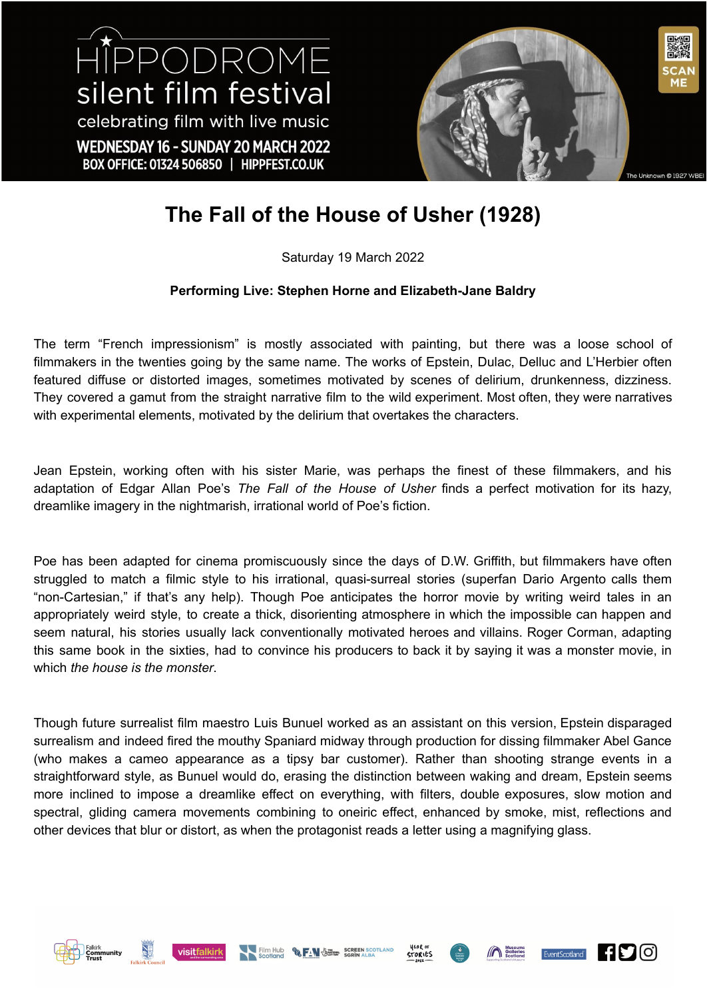HIPPODROME silent film festival celebrating film with live music WEDNESDAY 16 - SUNDAY 20 MARCH 2022 BOX OFFICE: 01324 506850 | HIPPFEST.CO.UK



## **The Fall of the House of Usher (1928)**

## Saturday 19 March 2022

## **Performing Live: Stephen Horne and Elizabeth-Jane Baldry**

The term "French impressionism" is mostly associated with painting, but there was a loose school of filmmakers in the twenties going by the same name. The works of Epstein, Dulac, Delluc and L'Herbier often featured diffuse or distorted images, sometimes motivated by scenes of delirium, drunkenness, dizziness. They covered a gamut from the straight narrative film to the wild experiment. Most often, they were narratives with experimental elements, motivated by the delirium that overtakes the characters.

Jean Epstein, working often with his sister Marie, was perhaps the finest of these filmmakers, and his adaptation of Edgar Allan Poe's *The Fall of the House of Usher* finds a perfect motivation for its hazy, dreamlike imagery in the nightmarish, irrational world of Poe's fiction.

Poe has been adapted for cinema promiscuously since the days of D.W. Griffith, but filmmakers have often struggled to match a filmic style to his irrational, quasi-surreal stories (superfan Dario Argento calls them "non-Cartesian," if that's any help). Though Poe anticipates the horror movie by writing weird tales in an appropriately weird style, to create a thick, disorienting atmosphere in which the impossible can happen and seem natural, his stories usually lack conventionally motivated heroes and villains. Roger Corman, adapting this same book in the sixties, had to convince his producers to back it by saying it was a monster movie, in which *the house is the monster*.

Though future surrealist film maestro Luis Bunuel worked as an assistant on this version, Epstein disparaged surrealism and indeed fired the mouthy Spaniard midway through production for dissing filmmaker Abel Gance (who makes a cameo appearance as a tipsy bar customer). Rather than shooting strange events in a straightforward style, as Bunuel would do, erasing the distinction between waking and dream, Epstein seems more inclined to impose a dreamlike effect on everything, with filters, double exposures, slow motion and spectral, gliding camera movements combining to oneiric effect, enhanced by smoke, mist, reflections and other devices that blur or distort, as when the protagonist reads a letter using a magnifying glass.











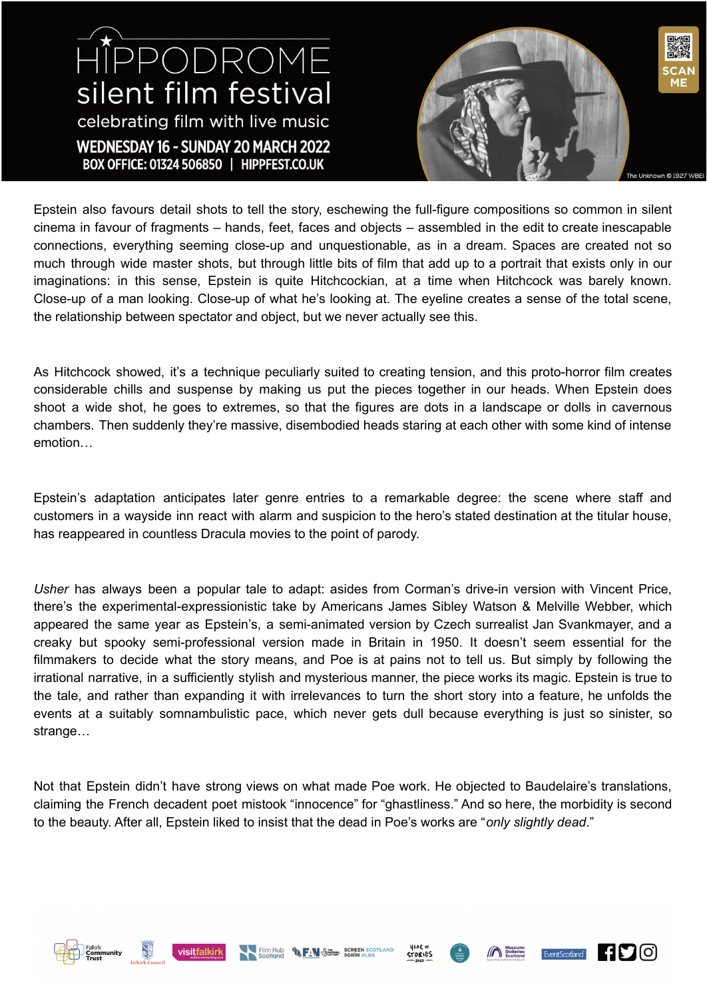## HIPPODROME silent film festival celebrating film with live music WEDNESDAY 16 - SUNDAY 20 MARCH 2022 BOX OFFICE: 01324 506850 | HIPPFEST.CO.UK



Epstein also favours detail shots to tell the story, eschewing the full-figure compositions so common in silent cinema in favour of fragments – hands, feet, faces and objects – assembled in the edit to create inescapable connections, everything seeming close-up and unquestionable, as in a dream. Spaces are created not so much through wide master shots, but through little bits of film that add up to a portrait that exists only in our imaginations: in this sense, Epstein is quite Hitchcockian, at a time when Hitchcock was barely known. Close-up of a man looking. Close-up of what he's looking at. The eyeline creates a sense of the total scene, the relationship between spectator and object, but we never actually see this.

As Hitchcock showed, it's a technique peculiarly suited to creating tension, and this proto-horror film creates considerable chills and suspense by making us put the pieces together in our heads. When Epstein does shoot a wide shot, he goes to extremes, so that the figures are dots in a landscape or dolls in cavernous chambers. Then suddenly they're massive, disembodied heads staring at each other with some kind of intense emotion…

Epstein's adaptation anticipates later genre entries to a remarkable degree: the scene where staff and customers in a wayside inn react with alarm and suspicion to the hero's stated destination at the titular house, has reappeared in countless Dracula movies to the point of parody.

*Usher* has always been a popular tale to adapt: asides from Corman's drive-in version with Vincent Price, there's the experimental-expressionistic take by Americans James Sibley Watson & Melville Webber, which appeared the same year as Epstein's, a semi-animated version by Czech surrealist Jan Svankmayer, and a creaky but spooky semi-professional version made in Britain in 1950. It doesn't seem essential for the filmmakers to decide what the story means, and Poe is at pains not to tell us. But simply by following the irrational narrative, in a sufficiently stylish and mysterious manner, the piece works its magic. Epstein is true to the tale, and rather than expanding it with irrelevances to turn the short story into a feature, he unfolds the events at a suitably somnambulistic pace, which never gets dull because everything is just so sinister, so strange…

Not that Epstein didn't have strong views on what made Poe work. He objected to Baudelaire's translations, claiming the French decadent poet mistook "innocence" for "ghastliness." And so here, the morbidity is second to the beauty. After all, Epstein liked to insist that the dead in Poe's works are "*only slightly dead*."